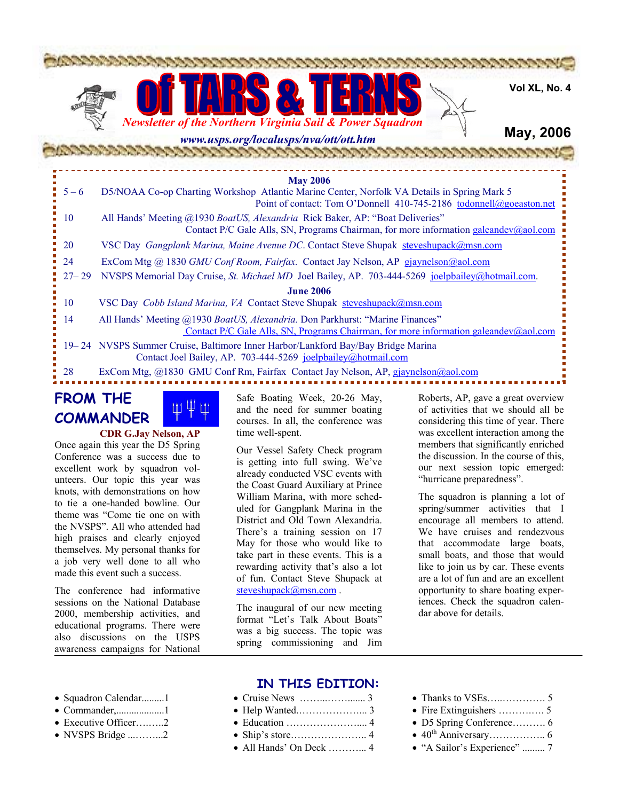



**Vol XL, No. 4**

### **May, 2006**

# *www.usps.org/localusps/nva/ott/ott.htm*

| <b>May 2006</b>  |                                                                                                                                                                       |  |
|------------------|-----------------------------------------------------------------------------------------------------------------------------------------------------------------------|--|
| $5 - 6$          | D5/NOAA Co-op Charting Workshop Atlantic Marine Center, Norfolk VA Details in Spring Mark 5<br>Point of contact: Tom O'Donnell 410-745-2186 todonnell@goeaston.net    |  |
| <b>10</b>        | All Hands' Meeting @1930 BoatUS, Alexandria Rick Baker, AP: "Boat Deliveries"<br>Contact P/C Gale Alls, SN, Programs Chairman, for more information galeandev@aol.com |  |
| 20               | VSC Day Gangplank Marina, Maine Avenue DC. Contact Steve Shupak steveshupack@msn.com                                                                                  |  |
| -24              | ExCom Mtg @ 1830 GMU Conf Room, Fairfax. Contact Jay Nelson, AP gjaynelson@aol.com                                                                                    |  |
| $27 - 29$        | NVSPS Memorial Day Cruise, St. Michael MD Joel Bailey, AP. 703-444-5269 joelpbailey@hotmail.com.                                                                      |  |
| <b>June 2006</b> |                                                                                                                                                                       |  |
| 10               | VSC Day Cobb Island Marina, VA Contact Steve Shupak steveshupack@msn.com                                                                                              |  |
| 14               | All Hands' Meeting @1930 BoatUS, Alexandria. Don Parkhurst: "Marine Finances"<br>Contact P/C Gale Alls, SN, Programs Chairman, for more information galeandev@aol.com |  |
|                  | 19–24 NVSPS Summer Cruise, Baltimore Inner Harbor/Lankford Bay/Bay Bridge Marina<br>Contact Joel Bailey, AP. 703-444-5269 joelpbailey@hotmail.com                     |  |
| 28               | ExCom Mtg, @1830 GMU Conf Rm, Fairfax Contact Jay Nelson, AP, gjaynelson@aol.com                                                                                      |  |
|                  |                                                                                                                                                                       |  |

# **FROM THE**

**COMMANDER**



#### **CDR G.Jay Nelson, AP**

Once again this year the D5 Spring Conference was a success due to excellent work by squadron volunteers. Our topic this year was knots, with demonstrations on how to tie a one-handed bowline. Our theme was "Come tie one on with the NVSPS". All who attended had high praises and clearly enjoyed themselves. My personal thanks for a job very well done to all who made this event such a success.

The conference had informative sessions on the National Database 2000, membership activities, and educational programs. There were also discussions on the USPS awareness campaigns for National

Safe Boating Week, 20-26 May, and the need for summer boating courses. In all, the conference was time well-spent.

Our Vessel Safety Check program is getting into full swing. We've already conducted VSC events with the Coast Guard Auxiliary at Prince William Marina, with more scheduled for Gangplank Marina in the District and Old Town Alexandria. There's a training session on 17 May for those who would like to take part in these events. This is a rewarding activity that's also a lot of fun. Contact Steve Shupack at steveshupack@msn.com.

The inaugural of our new meeting format "Let's Talk About Boats" was a big success. The topic was spring commissioning and Jim

Roberts, AP, gave a great overview of activities that we should all be considering this time of year. There was excellent interaction among the members that significantly enriched the discussion. In the course of this, our next session topic emerged: "hurricane preparedness".

The squadron is planning a lot of spring/summer activities that I encourage all members to attend. We have cruises and rendezvous that accommodate large boats, small boats, and those that would like to join us by car. These events are a lot of fun and are an excellent opportunity to share boating experiences. Check the squadron calendar above for details.

- Squadron Calendar.........1
- Commander,...................1
- Executive Officer…......2
- NVSPS Bridge ...……...2

#### **IN THIS EDITION:**

- Cruise News ……...……....... 3 • Help Wanted.………………... 3 • Education ………………….... 4 • Ship's store………………….. 4
- All Hands' On Deck ………….. 4
- Thanks to VSEs…..…………. 5
- Fire Extinguishers ……….…. 5
- D5 Spring Conference………. 6
- $40^{\text{th}}$  Anniversary……………….. 6
- "A Sailor's Experience" ......... 7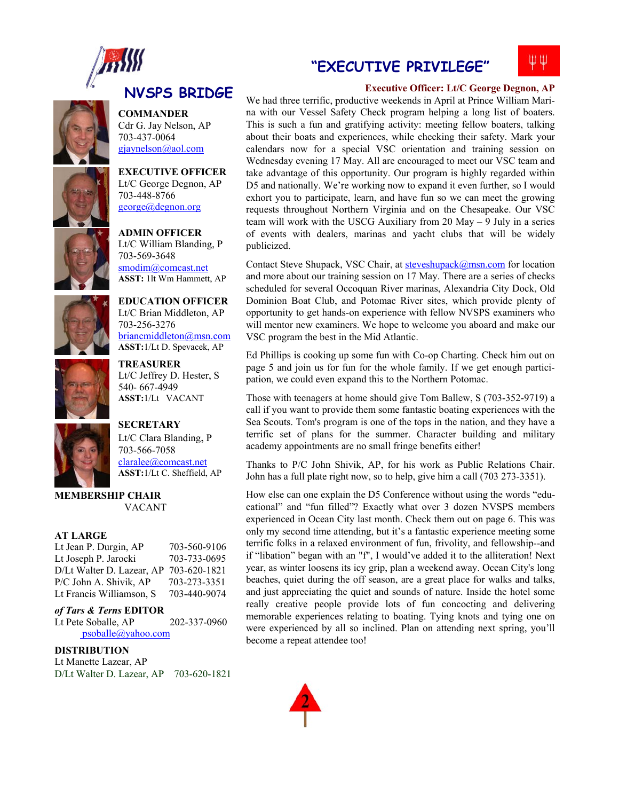



Cdr G. Jay Nelson, AP 703-437-0064 gjaynelson@aol.com

**COMMANDER** 

**EXECUTIVE OFFICER**  Lt/C George Degnon, AP 703-448-8766 george@degnon.org



Lt/C William Blanding, P 703-569-3648 smodim@comcast.net **ASST:** 1lt Wm Hammett, AP

703-256-3276

**ADMIN OFFICER** 



**ASST:**1/Lt D. Spevacek, AP **TREASURER** Lt/C Jeffrey D. Hester, S 540- 667-4949

**ASST:**1/Lt VACANT

**EDUCATION OFFICER**  Lt/C Brian Middleton, AP

briancmiddleton@msn.com



**SECRETARY**  Lt/C Clara Blanding, P 703-566-7058 claralee@comcast.net **ASST:**1/Lt C. Sheffield, AP

**MEMBERSHIP CHAIR**  VACANT

#### **AT LARGE**

| Lt Jean P. Durgin, AP     | 703-560-9106 |
|---------------------------|--------------|
| Lt Joseph P. Jarocki      | 703-733-0695 |
| D/Lt Walter D. Lazear, AP | 703-620-1821 |
| P/C John A. Shivik, AP    | 703-273-3351 |
| Lt Francis Williamson, S  | 703-440-9074 |

#### *of Tars & Terns* **EDITOR**

Lt Pete Soballe, AP 202-337-0960 psoballe@yahoo.com

#### **DISTRIBUTION**

Lt Manette Lazear, AP D/Lt Walter D. Lazear, AP 703-620-1821

# **"EXECUTIVE PRIVILEGE"**

# ЩΨ

### **Executive Officer: Lt/C George Degnon, AP**

We had three terrific, productive weekends in April at Prince William Marina with our Vessel Safety Check program helping a long list of boaters. This is such a fun and gratifying activity: meeting fellow boaters, talking about their boats and experiences, while checking their safety. Mark your calendars now for a special VSC orientation and training session on Wednesday evening 17 May. All are encouraged to meet our VSC team and take advantage of this opportunity. Our program is highly regarded within D5 and nationally. We're working now to expand it even further, so I would exhort you to participate, learn, and have fun so we can meet the growing requests throughout Northern Virginia and on the Chesapeake. Our VSC team will work with the USCG Auxiliary from 20 May – 9 July in a series of events with dealers, marinas and yacht clubs that will be widely publicized.

Contact Steve Shupack, VSC Chair, at steveshupack@msn.com for location and more about our training session on 17 May. There are a series of checks scheduled for several Occoquan River marinas, Alexandria City Dock, Old Dominion Boat Club, and Potomac River sites, which provide plenty of opportunity to get hands-on experience with fellow NVSPS examiners who will mentor new examiners. We hope to welcome you aboard and make our VSC program the best in the Mid Atlantic.

Ed Phillips is cooking up some fun with Co-op Charting. Check him out on page 5 and join us for fun for the whole family. If we get enough participation, we could even expand this to the Northern Potomac.

Those with teenagers at home should give Tom Ballew, S (703-352-9719) a call if you want to provide them some fantastic boating experiences with the Sea Scouts. Tom's program is one of the tops in the nation, and they have a terrific set of plans for the summer. Character building and military academy appointments are no small fringe benefits either!

Thanks to P/C John Shivik, AP, for his work as Public Relations Chair. John has a full plate right now, so to help, give him a call (703 273-3351).

How else can one explain the D5 Conference without using the words "educational" and "fun filled"? Exactly what over 3 dozen NVSPS members experienced in Ocean City last month. Check them out on page 6. This was only my second time attending, but it's a fantastic experience meeting some terrific folks in a relaxed environment of fun, frivolity, and fellowship--and if "libation" began with an "f", I would've added it to the alliteration! Next year, as winter loosens its icy grip, plan a weekend away. Ocean City's long beaches, quiet during the off season, are a great place for walks and talks, and just appreciating the quiet and sounds of nature. Inside the hotel some really creative people provide lots of fun concocting and delivering memorable experiences relating to boating. Tying knots and tying one on were experienced by all so inclined. Plan on attending next spring, you'll become a repeat attendee too!

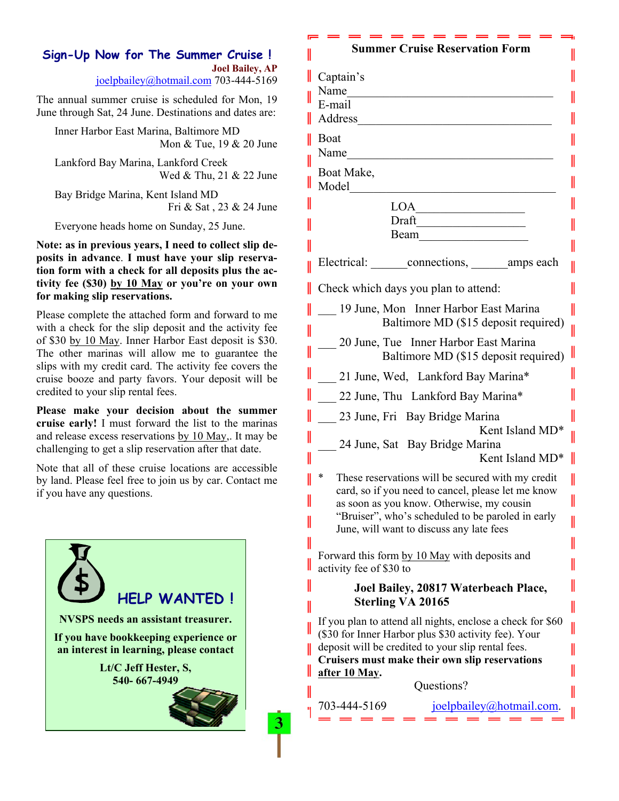# **Sign-Up Now for The Summer Cruise ! Joel Bailey, AP**

joelpbailey@hotmail.com 703-444-5169

The annual summer cruise is scheduled for Mon, 19 June through Sat, 24 June. Destinations and dates are:

Inner Harbor East Marina, Baltimore MD Mon & Tue, 19 & 20 June

Lankford Bay Marina, Lankford Creek Wed & Thu, 21 & 22 June

Bay Bridge Marina, Kent Island MD Fri & Sat , 23 & 24 June

Everyone heads home on Sunday, 25 June.

**Note: as in previous years, I need to collect slip deposits in advance**. **I must have your slip reservation form with a check for all deposits plus the activity fee (\$30) by 10 May or you're on your own for making slip reservations.** 

Please complete the attached form and forward to me with a check for the slip deposit and the activity fee of \$30 by 10 May. Inner Harbor East deposit is \$30. The other marinas will allow me to guarantee the slips with my credit card. The activity fee covers the cruise booze and party favors. Your deposit will be credited to your slip rental fees.

**Please make your decision about the summer cruise early!** I must forward the list to the marinas and release excess reservations by 10 May,. It may be challenging to get a slip reservation after that date.

Note that all of these cruise locations are accessible by land. Please feel free to join us by car. Contact me if you have any questions.



3

# **Summer Cruise Reservation Form**

| I  | Captain's                                                                                            |  |  |
|----|------------------------------------------------------------------------------------------------------|--|--|
| I  | Name                                                                                                 |  |  |
|    | E-mail                                                                                               |  |  |
|    | Address                                                                                              |  |  |
| II | Boat                                                                                                 |  |  |
|    | Name                                                                                                 |  |  |
| I  |                                                                                                      |  |  |
| II | Boat Make,                                                                                           |  |  |
|    | Model                                                                                                |  |  |
| II | <b>LOA</b>                                                                                           |  |  |
| II | Draft                                                                                                |  |  |
|    | Beam                                                                                                 |  |  |
| II |                                                                                                      |  |  |
| II | Electrical: connections, amps each                                                                   |  |  |
| II | Check which days you plan to attend:                                                                 |  |  |
| II | 19 June, Mon Inner Harbor East Marina                                                                |  |  |
| II | Baltimore MD (\$15 deposit required)                                                                 |  |  |
|    | 20 June, Tue Inner Harbor East Marina                                                                |  |  |
| II | Baltimore MD (\$15 deposit required)                                                                 |  |  |
| II | 21 June, Wed, Lankford Bay Marina*                                                                   |  |  |
| II | 22 June, Thu Lankford Bay Marina*                                                                    |  |  |
| II | 23 June, Fri Bay Bridge Marina                                                                       |  |  |
| II | Kent Island MD <sup>*</sup>                                                                          |  |  |
|    | 24 June, Sat Bay Bridge Marina                                                                       |  |  |
| II | Kent Island MD*                                                                                      |  |  |
| II | ∗<br>These reservations will be secured with my credit                                               |  |  |
|    | card, so if you need to cancel, please let me know                                                   |  |  |
| II | as soon as you know. Otherwise, my cousin                                                            |  |  |
|    | "Bruiser", who's scheduled to be paroled in early                                                    |  |  |
|    | June, will want to discuss any late fees                                                             |  |  |
| II | Forward this form by 10 May with deposits and                                                        |  |  |
| II | activity fee of \$30 to                                                                              |  |  |
| II |                                                                                                      |  |  |
|    | Joel Bailey, 20817 Waterbeach Place,<br><b>Sterling VA 20165</b>                                     |  |  |
| II |                                                                                                      |  |  |
| II | If you plan to attend all nights, enclose a check for \$60                                           |  |  |
|    | (\$30 for Inner Harbor plus \$30 activity fee). Your                                                 |  |  |
| II | deposit will be credited to your slip rental fees.<br>Cruisers must make their own slip reservations |  |  |
| II | after 10 May.                                                                                        |  |  |
|    | Questions?                                                                                           |  |  |
| II |                                                                                                      |  |  |
|    | 703-444-5169<br>$joelpbailey(a)hotmail.com$ .                                                        |  |  |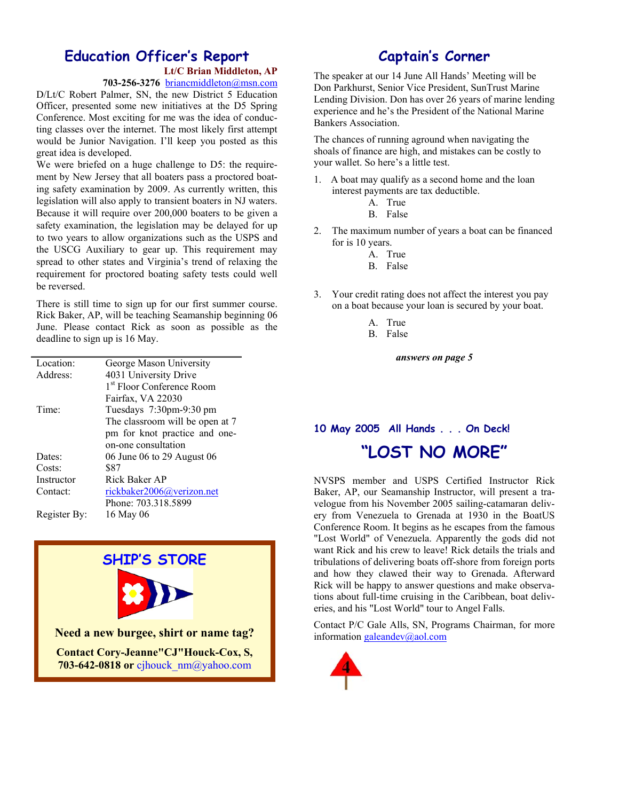#### **Education Officer's Report Lt/C Brian Middleton, AP**

**703-256-3276** briancmiddleton@msn.com

D/Lt/C Robert Palmer, SN, the new District 5 Education Officer, presented some new initiatives at the D5 Spring Conference. Most exciting for me was the idea of conducting classes over the internet. The most likely first attempt would be Junior Navigation. I'll keep you posted as this great idea is developed.

We were briefed on a huge challenge to D5: the requirement by New Jersey that all boaters pass a proctored boating safety examination by 2009. As currently written, this legislation will also apply to transient boaters in NJ waters. Because it will require over 200,000 boaters to be given a safety examination, the legislation may be delayed for up to two years to allow organizations such as the USPS and the USCG Auxiliary to gear up. This requirement may spread to other states and Virginia's trend of relaxing the requirement for proctored boating safety tests could well be reversed.

There is still time to sign up for our first summer course. Rick Baker, AP, will be teaching Seamanship beginning 06 June. Please contact Rick as soon as possible as the deadline to sign up is 16 May.

| Location:    | George Mason University               |
|--------------|---------------------------------------|
| Address:     | 4031 University Drive                 |
|              | 1 <sup>st</sup> Floor Conference Room |
|              | Fairfax, VA 22030                     |
| Time:        | Tuesdays 7:30pm-9:30 pm               |
|              | The classroom will be open at 7       |
|              | pm for knot practice and one-         |
|              | on-one consultation                   |
| Dates:       | 06 June 06 to 29 August 06            |
| Costs:       | \$87                                  |
| Instructor   | Rick Baker AP                         |
| Contact:     | rickbaker2006@verizon.net             |
|              | Phone: 703.318.5899                   |
| Register By: | 16 May 06                             |
|              |                                       |



**703-642-0818 or** cjhouck\_nm@yahoo.com

# **Captain's Corner**

The speaker at our 14 June All Hands' Meeting will be Don Parkhurst, Senior Vice President, SunTrust Marine Lending Division. Don has over 26 years of marine lending experience and he's the President of the National Marine Bankers Association.

The chances of running aground when navigating the shoals of finance are high, and mistakes can be costly to your wallet. So here's a little test.

- 1. A boat may qualify as a second home and the loan interest payments are tax deductible.
	- A. True
	- B. False
- 2. The maximum number of years a boat can be financed for is 10 years.
	- A. True
	- B. False
- 3. Your credit rating does not affect the interest you pay on a boat because your loan is secured by your boat.
	- A. True
	- B. False

*answers on page 5* 

#### **10 May 2005 All Hands . . . On Deck!**

# **"LOST NO MORE"**

NVSPS member and USPS Certified Instructor Rick Baker, AP, our Seamanship Instructor, will present a travelogue from his November 2005 sailing-catamaran delivery from Venezuela to Grenada at 1930 in the BoatUS Conference Room. It begins as he escapes from the famous "Lost World" of Venezuela. Apparently the gods did not want Rick and his crew to leave! Rick details the trials and tribulations of delivering boats off-shore from foreign ports and how they clawed their way to Grenada. Afterward Rick will be happy to answer questions and make observations about full-time cruising in the Caribbean, boat deliveries, and his "Lost World" tour to Angel Falls.

Contact P/C Gale Alls, SN, Programs Chairman, for more information galeandev@aol.com

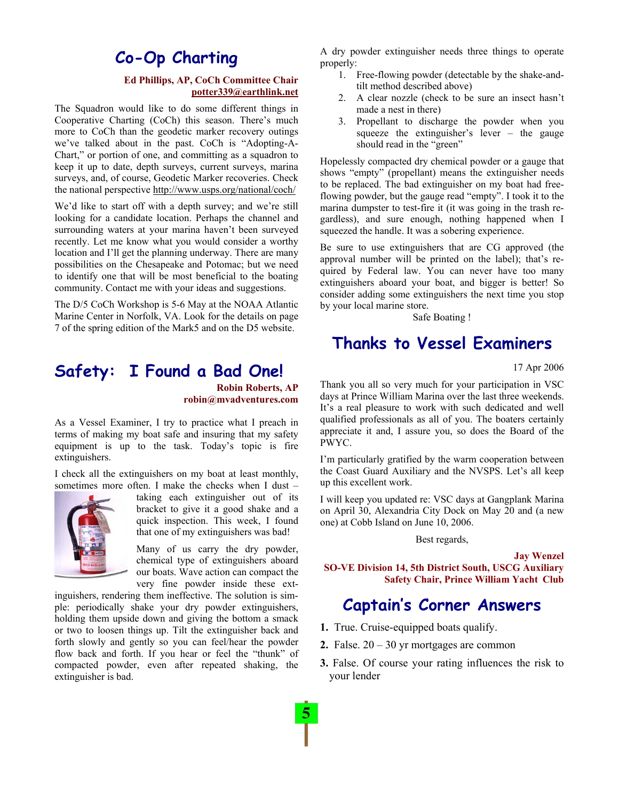# **Co-Op Charting**

#### **Ed Phillips, AP, CoCh Committee Chair potter339@earthlink.net**

The Squadron would like to do some different things in Cooperative Charting (CoCh) this season. There's much more to CoCh than the geodetic marker recovery outings we've talked about in the past. CoCh is "Adopting-A-Chart," or portion of one, and committing as a squadron to keep it up to date, depth surveys, current surveys, marina surveys, and, of course, Geodetic Marker recoveries. Check the national perspective http://www.usps.org/national/coch/

We'd like to start off with a depth survey; and we're still looking for a candidate location. Perhaps the channel and surrounding waters at your marina haven't been surveyed recently. Let me know what you would consider a worthy location and I'll get the planning underway. There are many possibilities on the Chesapeake and Potomac; but we need to identify one that will be most beneficial to the boating community. Contact me with your ideas and suggestions.

The D/5 CoCh Workshop is 5-6 May at the NOAA Atlantic Marine Center in Norfolk, VA. Look for the details on page 7 of the spring edition of the Mark5 and on the D5 website.

# **Safety: I Found a Bad One!**

**Robin Roberts, AP robin@mvadventures.com** 

As a Vessel Examiner, I try to practice what I preach in terms of making my boat safe and insuring that my safety equipment is up to the task. Today's topic is fire extinguishers.

I check all the extinguishers on my boat at least monthly, sometimes more often. I make the checks when I dust –



taking each extinguisher out of its bracket to give it a good shake and a quick inspection. This week, I found that one of my extinguishers was bad!

Many of us carry the dry powder, chemical type of extinguishers aboard our boats. Wave action can compact the very fine powder inside these ext-

inguishers, rendering them ineffective. The solution is simple: periodically shake your dry powder extinguishers, holding them upside down and giving the bottom a smack or two to loosen things up. Tilt the extinguisher back and forth slowly and gently so you can feel/hear the powder flow back and forth. If you hear or feel the "thunk" of compacted powder, even after repeated shaking, the extinguisher is bad.

A dry powder extinguisher needs three things to operate properly:

- 1. Free-flowing powder (detectable by the shake-andtilt method described above)
- 2. A clear nozzle (check to be sure an insect hasn't made a nest in there)
- 3. Propellant to discharge the powder when you squeeze the extinguisher's lever – the gauge should read in the "green"

Hopelessly compacted dry chemical powder or a gauge that shows "empty" (propellant) means the extinguisher needs to be replaced. The bad extinguisher on my boat had freeflowing powder, but the gauge read "empty". I took it to the marina dumpster to test-fire it (it was going in the trash regardless), and sure enough, nothing happened when I squeezed the handle. It was a sobering experience.

Be sure to use extinguishers that are CG approved (the approval number will be printed on the label); that's required by Federal law. You can never have too many extinguishers aboard your boat, and bigger is better! So consider adding some extinguishers the next time you stop by your local marine store.

Safe Boating !

# **Thanks to Vessel Examiners**

17 Apr 2006

Thank you all so very much for your participation in VSC days at Prince William Marina over the last three weekends. It's a real pleasure to work with such dedicated and well qualified professionals as all of you. The boaters certainly appreciate it and, I assure you, so does the Board of the PWYC.

I'm particularly gratified by the warm cooperation between the Coast Guard Auxiliary and the NVSPS. Let's all keep up this excellent work.

I will keep you updated re: VSC days at Gangplank Marina on April 30, Alexandria City Dock on May 20 and (a new one) at Cobb Island on June 10, 2006.

Best regards,

**SO-VE Division 14, 5th District South, USCG Auxiliary Safety Chair, Prince William Yacht Club**

# **Captain's Corner Answers**

- **1.** True. Cruise-equipped boats qualify.
- **2.** False. 20 30 yr mortgages are common
- **3.** False. Of course your rating influences the risk to your lender

**Jay Wenzel**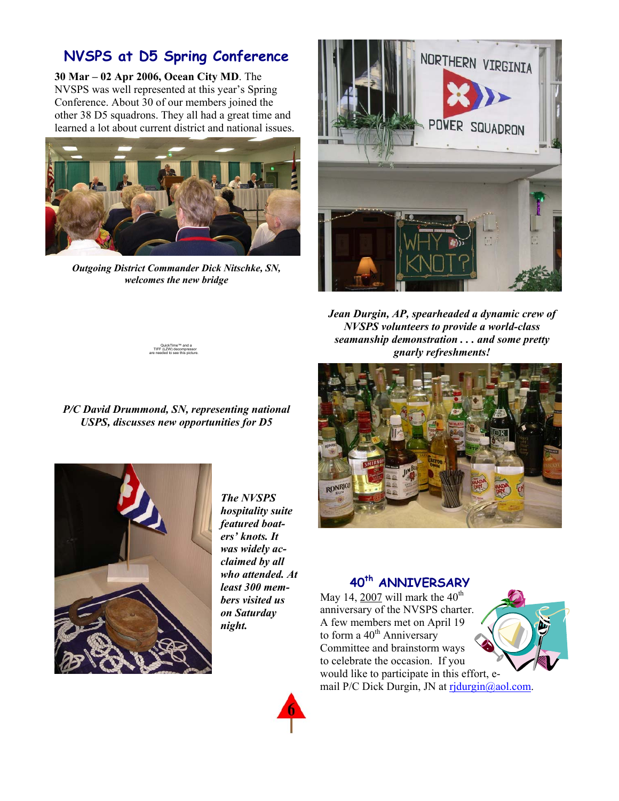# **NVSPS at D5 Spring Conference**

**30 Mar – 02 Apr 2006, Ocean City MD**. The NVSPS was well represented at this year's Spring Conference. About 30 of our members joined the other 38 D5 squadrons. They all had a great time and learned a lot about current district and national issues.



*Outgoing District Commander Dick Nitschke, SN, welcomes the new bridge* 



*Jean Durgin, AP, spearheaded a dynamic crew of NVSPS volunteers to provide a world-class seamanship demonstration . . . and some pretty gnarly refreshments!* 



## **40th ANNIVERSARY**

May 14,  $2007$  will mark the 40<sup>th</sup> anniversary of the NVSPS charter. A few members met on April 19 to form a  $40<sup>th</sup>$  Anniversary Committee and brainstorm ways to celebrate the occasion. If you would like to participate in this effort, e-





mail P/C Dick Durgin, JN at ridurgin@aol.com.

QuickTime™ and a<br>TIFF (LZW) decompressor<br>are needed to see this picture.

*P/C David Drummond, SN, representing national USPS, discusses new opportunities for D5* 



*The NVSPS hospitality suite featured boaters' knots. It was widely acclaimed by all who attended. At least 300 members visited us on Saturday night.* 

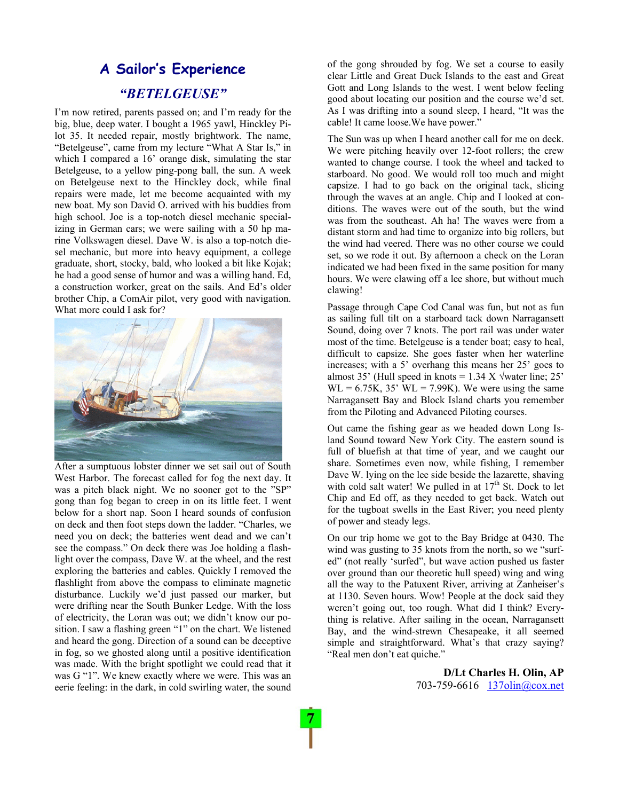# **A Sailor's Experience**  *"BETELGEUSE"*

I'm now retired, parents passed on; and I'm ready for the big, blue, deep water. I bought a 1965 yawl, Hinckley Pilot 35. It needed repair, mostly brightwork. The name, "Betelgeuse", came from my lecture "What A Star Is," in which I compared a 16' orange disk, simulating the star Betelgeuse, to a yellow ping-pong ball, the sun. A week on Betelgeuse next to the Hinckley dock, while final repairs were made, let me become acquainted with my new boat. My son David O. arrived with his buddies from high school. Joe is a top-notch diesel mechanic specializing in German cars; we were sailing with a 50 hp marine Volkswagen diesel. Dave W. is also a top-notch diesel mechanic, but more into heavy equipment, a college graduate, short, stocky, bald, who looked a bit like Kojak; he had a good sense of humor and was a willing hand. Ed, a construction worker, great on the sails. And Ed's older brother Chip, a ComAir pilot, very good with navigation. What more could I ask for?



After a sumptuous lobster dinner we set sail out of South West Harbor. The forecast called for fog the next day. It was a pitch black night. We no sooner got to the "SP" gong than fog began to creep in on its little feet. I went below for a short nap. Soon I heard sounds of confusion on deck and then foot steps down the ladder. "Charles, we need you on deck; the batteries went dead and we can't see the compass." On deck there was Joe holding a flashlight over the compass, Dave W. at the wheel, and the rest exploring the batteries and cables. Quickly I removed the flashlight from above the compass to eliminate magnetic disturbance. Luckily we'd just passed our marker, but were drifting near the South Bunker Ledge. With the loss of electricity, the Loran was out; we didn't know our position. I saw a flashing green "1" on the chart. We listened and heard the gong. Direction of a sound can be deceptive in fog, so we ghosted along until a positive identification was made. With the bright spotlight we could read that it was G "1". We knew exactly where we were. This was an eerie feeling: in the dark, in cold swirling water, the sound

of the gong shrouded by fog. We set a course to easily clear Little and Great Duck Islands to the east and Great Gott and Long Islands to the west. I went below feeling good about locating our position and the course we'd set. As I was drifting into a sound sleep, I heard, "It was the cable! It came loose.We have power."

The Sun was up when I heard another call for me on deck. We were pitching heavily over 12-foot rollers; the crew wanted to change course. I took the wheel and tacked to starboard. No good. We would roll too much and might capsize. I had to go back on the original tack, slicing through the waves at an angle. Chip and I looked at conditions. The waves were out of the south, but the wind was from the southeast. Ah ha! The waves were from a distant storm and had time to organize into big rollers, but the wind had veered. There was no other course we could set, so we rode it out. By afternoon a check on the Loran indicated we had been fixed in the same position for many hours. We were clawing off a lee shore, but without much clawing!

Passage through Cape Cod Canal was fun, but not as fun as sailing full tilt on a starboard tack down Narragansett Sound, doing over 7 knots. The port rail was under water most of the time. Betelgeuse is a tender boat; easy to heal, difficult to capsize. She goes faster when her waterline increases; with a 5' overhang this means her 25' goes to almost 35' (Hull speed in knots =  $1.34$  X  $\sqrt{6}$  water line; 25'  $WL = 6.75K$ , 35'  $WL = 7.99K$ ). We were using the same Narragansett Bay and Block Island charts you remember from the Piloting and Advanced Piloting courses.

Out came the fishing gear as we headed down Long Island Sound toward New York City. The eastern sound is full of bluefish at that time of year, and we caught our share. Sometimes even now, while fishing, I remember Dave W. lying on the lee side beside the lazarette, shaving with cold salt water! We pulled in at  $17<sup>th</sup>$  St. Dock to let Chip and Ed off, as they needed to get back. Watch out for the tugboat swells in the East River; you need plenty of power and steady legs.

On our trip home we got to the Bay Bridge at 0430. The wind was gusting to 35 knots from the north, so we "surfed" (not really 'surfed", but wave action pushed us faster over ground than our theoretic hull speed) wing and wing all the way to the Patuxent River, arriving at Zanheiser's at 1130. Seven hours. Wow! People at the dock said they weren't going out, too rough. What did I think? Everything is relative. After sailing in the ocean, Narragansett Bay, and the wind-strewn Chesapeake, it all seemed simple and straightforward. What's that crazy saying? "Real men don't eat quiche."

> **D/Lt Charles H. Olin, AP**  703-759-6616 137olin@cox.net